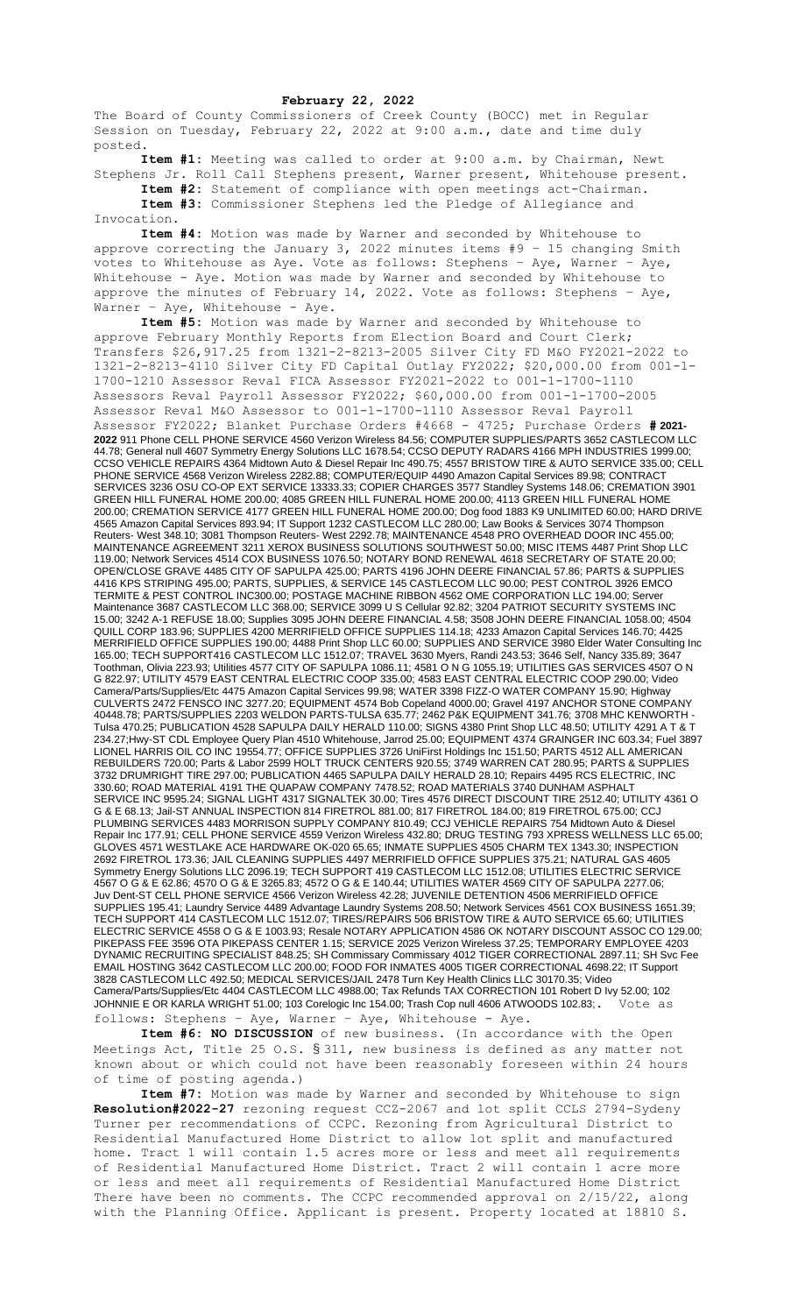## **February 22, 2022**

The Board of County Commissioners of Creek County (BOCC) met in Regular Session on Tuesday, February 22, 2022 at 9:00 a.m., date and time duly posted.

**Item #1:** Meeting was called to order at 9:00 a.m. by Chairman, Newt Stephens Jr. Roll Call Stephens present, Warner present, Whitehouse present.

**Item #2:** Statement of compliance with open meetings act-Chairman. **Item #3:** Commissioner Stephens led the Pledge of Allegiance and Invocation.

**Item #4:** Motion was made by Warner and seconded by Whitehouse to approve correcting the January 3, 2022 minutes items #9 – 15 changing Smith votes to Whitehouse as Aye. Vote as follows: Stephens – Aye, Warner – Aye, Whitehouse - Aye. Motion was made by Warner and seconded by Whitehouse to approve the minutes of February  $14$ , 2022. Vote as follows: Stephens - Aye, Warner – Aye, Whitehouse - Aye.

**Item #5:** Motion was made by Warner and seconded by Whitehouse to approve February Monthly Reports from Election Board and Court Clerk; Transfers \$26,917.25 from 1321-2-8213-2005 Silver City FD M&O FY2021-2022 to 1321-2-8213-4110 Silver City FD Capital Outlay FY2022; \$20,000.00 from 001-1- 1700-1210 Assessor Reval FICA Assessor FY2021-2022 to 001-1-1700-1110 Assessors Reval Payroll Assessor FY2022; \$60,000.00 from 001-1-1700-2005 Assessor Reval M&O Assessor to 001-1-1700-1110 Assessor Reval Payroll Assessor FY2022; Blanket Purchase Orders #4668 - 4725; Purchase Orders **# 2021- 2022** 911 Phone CELL PHONE SERVICE 4560 Verizon Wireless 84.56; COMPUTER SUPPLIES/PARTS 3652 CASTLECOM LLC 44.78; General null 4607 Symmetry Energy Solutions LLC 1678.54; CCSO DEPUTY RADARS 4166 MPH INDUSTRIES 1999.00; CCSO VEHICLE REPAIRS 4364 Midtown Auto & Diesel Repair Inc 490.75; 4557 BRISTOW TIRE & AUTO SERVICE 335.00; CELL PHONE SERVICE 4568 Verizon Wireless 2282.88; COMPUTER/EQUIP 4490 Amazon Capital Services 89.98; CONTRACT SERVICES 3236 OSU CO-OP EXT SERVICE 13333.33; COPIER CHARGES 3577 Standley Systems 148.06; CREMATION 3901 GREEN HILL FUNERAL HOME 200.00; 4085 GREEN HILL FUNERAL HOME 200.00; 4113 GREEN HILL FUNERAL HOME 200.00; CREMATION SERVICE 4177 GREEN HILL FUNERAL HOME 200.00; Dog food 1883 K9 UNLIMITED 60.00; HARD DRIVE 4565 Amazon Capital Services 893.94; IT Support 1232 CASTLECOM LLC 280.00; Law Books & Services 3074 Thompson Reuters- West 348.10; 3081 Thompson Reuters- West 2292.78; MAINTENANCE 4548 PRO OVERHEAD DOOR INC 455.00; MAINTENANCE AGREEMENT 3211 XEROX BUSINESS SOLUTIONS SOUTHWEST 50.00; MISC ITEMS 4487 Print Shop LLC 119.00; Network Services 4514 COX BUSINESS 1076.50; NOTARY BOND RENEWAL 4618 SECRETARY OF STATE 20.00; OPEN/CLOSE GRAVE 4485 CITY OF SAPULPA 425.00; PARTS 4196 JOHN DEERE FINANCIAL 57.86; PARTS & SUPPLIES 4416 KPS STRIPING 495.00; PARTS, SUPPLIES, & SERVICE 145 CASTLECOM LLC 90.00; PEST CONTROL 3926 EMCO TERMITE & PEST CONTROL INC300.00; POSTAGE MACHINE RIBBON 4562 OME CORPORATION LLC 194.00; Server Maintenance 3687 CASTLECOM LLC 368.00; SERVICE 3099 U S Cellular 92.82; 3204 PATRIOT SECURITY SYSTEMS INC 15.00; 3242 A-1 REFUSE 18.00; Supplies 3095 JOHN DEERE FINANCIAL 4.58; 3508 JOHN DEERE FINANCIAL 1058.00; 4504 QUILL CORP 183.96; SUPPLIES 4200 MERRIFIELD OFFICE SUPPLIES 114.18; 4233 Amazon Capital Services 146.70; 4425 MERRIFIELD OFFICE SUPPLIES 190.00; 4488 Print Shop LLC 60.00; SUPPLIES AND SERVICE 3980 Elder Water Consulting Inc 165.00; TECH SUPPORT416 CASTLECOM LLC 1512.07; TRAVEL 3630 Myers, Randi 243.53; 3646 Self, Nancy 335.89; 3647 Toothman, Olivia 223.93; Utilities 4577 CITY OF SAPULPA 1086.11; 4581 O N G 1055.19; UTILITIES GAS SERVICES 4507 O N G 822.97; UTILITY 4579 EAST CENTRAL ELECTRIC COOP 335.00; 4583 EAST CENTRAL ELECTRIC COOP 290.00; Video Camera/Parts/Supplies/Etc 4475 Amazon Capital Services 99.98; WATER 3398 FIZZ-O WATER COMPANY 15.90; Highway CULVERTS 2472 FENSCO INC 3277.20; EQUIPMENT 4574 Bob Copeland 4000.00; Gravel 4197 ANCHOR STONE COMPANY 40448.78; PARTS/SUPPLIES 2203 WELDON PARTS-TULSA 635.77; 2462 P&K EQUIPMENT 341.76; 3708 MHC KENWORTH - Tulsa 470.25; PUBLICATION 4528 SAPULPA DAILY HERALD 110.00; SIGNS 4380 Print Shop LLC 48.50; UTILITY 4291 A T & T 234.27;Hwy-ST CDL Employee Query Plan 4510 Whitehouse, Jarrod 25.00; EQUIPMENT 4374 GRAINGER INC 603.34; Fuel 3897 LIONEL HARRIS OIL CO INC 19554.77; OFFICE SUPPLIES 3726 UniFirst Holdings Inc 151.50; PARTS 4512 ALL AMERICAN REBUILDERS 720.00; Parts & Labor 2599 HOLT TRUCK CENTERS 920.55; 3749 WARREN CAT 280.95; PARTS & SUPPLIES 3732 DRUMRIGHT TIRE 297.00; PUBLICATION 4465 SAPULPA DAILY HERALD 28.10; Repairs 4495 RCS ELECTRIC, INC 330.60; ROAD MATERIAL 4191 THE QUAPAW COMPANY 7478.52; ROAD MATERIALS 3740 DUNHAM ASPHALT SERVICE INC 9595.24; SIGNAL LIGHT 4317 SIGNALTEK 30.00; Tires 4576 DIRECT DISCOUNT TIRE 2512.40; UTILITY 4361 O G & E 68.13; Jail-ST ANNUAL INSPECTION 814 FIRETROL 881.00; 817 FIRETROL 184.00; 819 FIRETROL 675.00; CCJ PLUMBING SERVICES 4483 MORRISON SUPPLY COMPANY 810.49; CCJ VEHICLE REPAIRS 754 Midtown Auto & Diesel Repair Inc 177.91; CELL PHONE SERVICE 4559 Verizon Wireless 432.80; DRUG TESTING 793 XPRESS WELLNESS LLC 65.00; GLOVES 4571 WESTLAKE ACE HARDWARE OK-020 65.65; INMATE SUPPLIES 4505 CHARM TEX 1343.30; INSPECTION 2692 FIRETROL 173.36; JAIL CLEANING SUPPLIES 4497 MERRIFIELD OFFICE SUPPLIES 375.21; NATURAL GAS 4605 Symmetry Energy Solutions LLC 2096.19; TECH SUPPORT 419 CASTLECOM LLC 1512.08; UTILITIES ELECTRIC SERVICE 4567 O G & E 62.86; 4570 O G & E 3265.83; 4572 O G & E 140.44; UTILITIES WATER 4569 CITY OF SAPULPA 2277.06; Juv Dent-ST CELL PHONE SERVICE 4566 Verizon Wireless 42.28; JUVENILE DETENTION 4506 MERRIFIELD OFFICE SUPPLIES 195.41; Laundry Service 4489 Advantage Laundry Systems 208.50; Network Services 4561 COX BUSINESS 1651.39; TECH SUPPORT 414 CASTLECOM LLC 1512.07; TIRES/REPAIRS 506 BRISTOW TIRE & AUTO SERVICE 65.60; UTILITIES ELECTRIC SERVICE 4558 O G & E 1003.93; Resale NOTARY APPLICATION 4586 OK NOTARY DISCOUNT ASSOC CO 129.00; PIKEPASS FEE 3596 OTA PIKEPASS CENTER 1.15; SERVICE 2025 Verizon Wireless 37.25; TEMPORARY EMPLOYEE 4203 DYNAMIC RECRUITING SPECIALIST 848.25; SH Commissary Commissary 4012 TIGER CORRECTIONAL 2897.11; SH Svc Fee EMAIL HOSTING 3642 CASTLECOM LLC 200.00; FOOD FOR INMATES 4005 TIGER CORRECTIONAL 4698.22; IT Support 3828 CASTLECOM LLC 492.50; MEDICAL SERVICES/JAIL 2478 Turn Key Health Clinics LLC 30170.35; Video Camera/Parts/Supplies/Etc 4404 CASTLECOM LLC 4988.00; Tax Refunds TAX CORRECTION 101 Robert D Ivy 52.00; 102 JOHNNIE E OR KARLA WRIGHT 51.00; 103 Corelogic Inc 154.00; Trash Cop null 4606 ATWOODS 102.83;. Vote as follows: Stephens – Aye, Warner – Aye, Whitehouse - Aye.

**Item #6: NO DISCUSSION** of new business. (In accordance with the Open Meetings Act, Title 25 O.S. § 311, new business is defined as any matter not known about or which could not have been reasonably foreseen within 24 hours of time of posting agenda.)

**Item #7:** Motion was made by Warner and seconded by Whitehouse to sign **Resolution#2022-27** rezoning request CCZ-2067 and lot split CCLS 2794-Sydeny Turner per recommendations of CCPC. Rezoning from Agricultural District to Residential Manufactured Home District to allow lot split and manufactured home. Tract 1 will contain 1.5 acres more or less and meet all requirements of Residential Manufactured Home District. Tract 2 will contain 1 acre more or less and meet all requirements of Residential Manufactured Home District There have been no comments. The CCPC recommended approval on 2/15/22, along with the Planning Office. Applicant is present. Property located at 18810 S.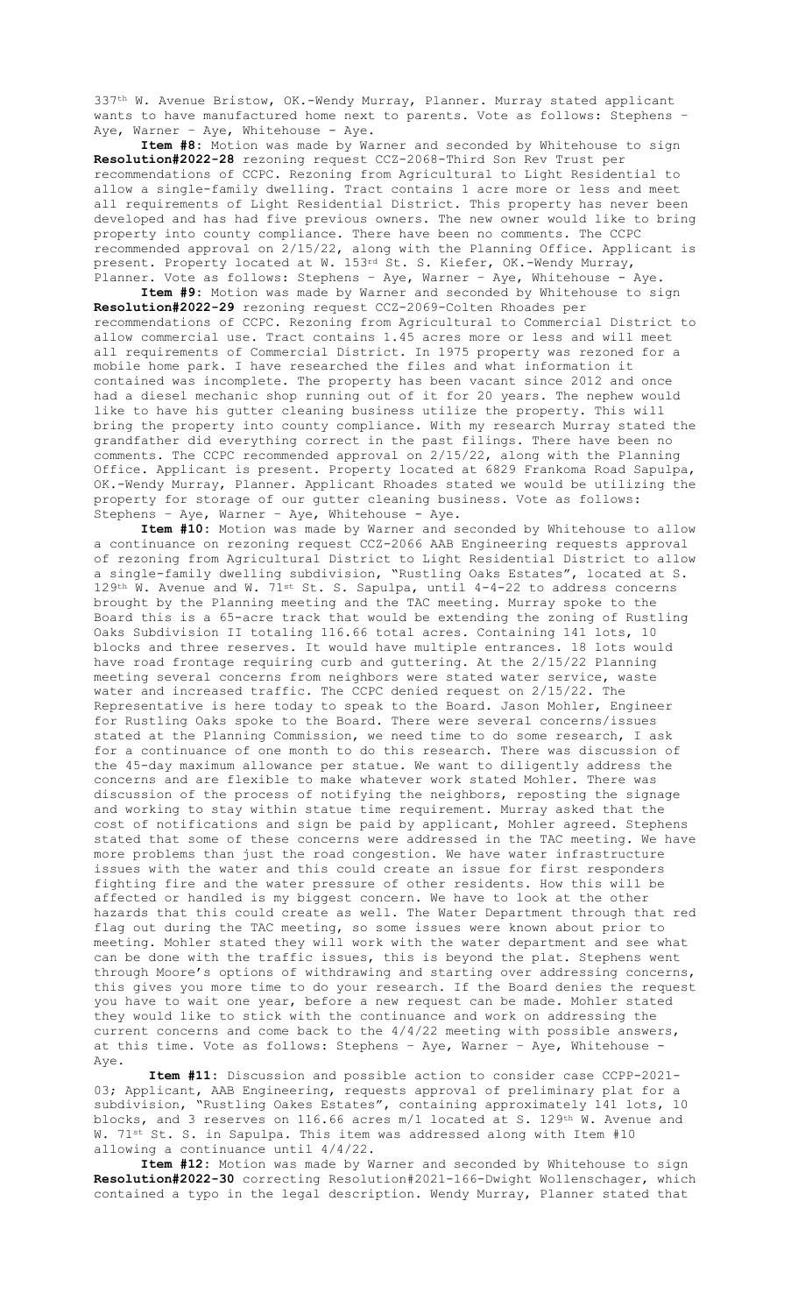337th W. Avenue Bristow, OK.-Wendy Murray, Planner. Murray stated applicant wants to have manufactured home next to parents. Vote as follows: Stephens – Aye, Warner - Aye, Whitehouse - Aye.

**Item #8:** Motion was made by Warner and seconded by Whitehouse to sign **Resolution#2022-28** rezoning request CCZ-2068-Third Son Rev Trust per recommendations of CCPC. Rezoning from Agricultural to Light Residential to allow a single-family dwelling. Tract contains 1 acre more or less and meet all requirements of Light Residential District. This property has never been developed and has had five previous owners. The new owner would like to bring property into county compliance. There have been no comments. The CCPC recommended approval on 2/15/22, along with the Planning Office. Applicant is present. Property located at W. 153rd St. S. Kiefer, OK.-Wendy Murray, Planner. Vote as follows: Stephens – Aye, Warner – Aye, Whitehouse - Aye.

**Item #9:** Motion was made by Warner and seconded by Whitehouse to sign **Resolution#2022-29** rezoning request CCZ-2069-Colten Rhoades per recommendations of CCPC. Rezoning from Agricultural to Commercial District to allow commercial use. Tract contains 1.45 acres more or less and will meet all requirements of Commercial District. In 1975 property was rezoned for a mobile home park. I have researched the files and what information it contained was incomplete. The property has been vacant since 2012 and once had a diesel mechanic shop running out of it for 20 years. The nephew would like to have his gutter cleaning business utilize the property. This will bring the property into county compliance. With my research Murray stated the grandfather did everything correct in the past filings. There have been no comments. The CCPC recommended approval on 2/15/22, along with the Planning Office. Applicant is present. Property located at 6829 Frankoma Road Sapulpa, OK.-Wendy Murray, Planner. Applicant Rhoades stated we would be utilizing the property for storage of our gutter cleaning business. Vote as follows: Stephens – Aye, Warner – Aye, Whitehouse - Aye.

**Item #10:** Motion was made by Warner and seconded by Whitehouse to allow a continuance on rezoning request CCZ-2066 AAB Engineering requests approval of rezoning from Agricultural District to Light Residential District to allow a single-family dwelling subdivision, "Rustling Oaks Estates", located at S. 129<sup>th</sup> W. Avenue and W. 71<sup>st</sup> St. S. Sapulpa, until 4-4-22 to address concerns brought by the Planning meeting and the TAC meeting. Murray spoke to the Board this is a 65-acre track that would be extending the zoning of Rustling Oaks Subdivision II totaling 116.66 total acres. Containing 141 lots, 10 blocks and three reserves. It would have multiple entrances. 18 lots would have road frontage requiring curb and guttering. At the 2/15/22 Planning meeting several concerns from neighbors were stated water service, waste water and increased traffic. The CCPC denied request on 2/15/22. The Representative is here today to speak to the Board. Jason Mohler, Engineer for Rustling Oaks spoke to the Board. There were several concerns/issues stated at the Planning Commission, we need time to do some research, I ask for a continuance of one month to do this research. There was discussion of the 45-day maximum allowance per statue. We want to diligently address the concerns and are flexible to make whatever work stated Mohler. There was discussion of the process of notifying the neighbors, reposting the signage and working to stay within statue time requirement. Murray asked that the cost of notifications and sign be paid by applicant, Mohler agreed. Stephens stated that some of these concerns were addressed in the TAC meeting. We have more problems than just the road congestion. We have water infrastructure issues with the water and this could create an issue for first responders fighting fire and the water pressure of other residents. How this will be affected or handled is my biggest concern. We have to look at the other hazards that this could create as well. The Water Department through that red flag out during the TAC meeting, so some issues were known about prior to meeting. Mohler stated they will work with the water department and see what can be done with the traffic issues, this is beyond the plat. Stephens went through Moore's options of withdrawing and starting over addressing concerns, this gives you more time to do your research. If the Board denies the request you have to wait one year, before a new request can be made. Mohler stated they would like to stick with the continuance and work on addressing the current concerns and come back to the 4/4/22 meeting with possible answers, at this time. Vote as follows: Stephens – Aye, Warner – Aye, Whitehouse - Aye.

**Item #11:** Discussion and possible action to consider case CCPP-2021- 03; Applicant, AAB Engineering, requests approval of preliminary plat for a subdivision, "Rustling Oakes Estates", containing approximately 141 lots, 10 blocks, and 3 reserves on 116.66 acres m/l located at S. 129th W. Avenue and W. 71<sup>st</sup> St. S. in Sapulpa. This item was addressed along with Item #10 allowing a continuance until 4/4/22.

**Item #12:** Motion was made by Warner and seconded by Whitehouse to sign **Resolution#2022-30** correcting Resolution#2021-166-Dwight Wollenschager, which contained a typo in the legal description. Wendy Murray, Planner stated that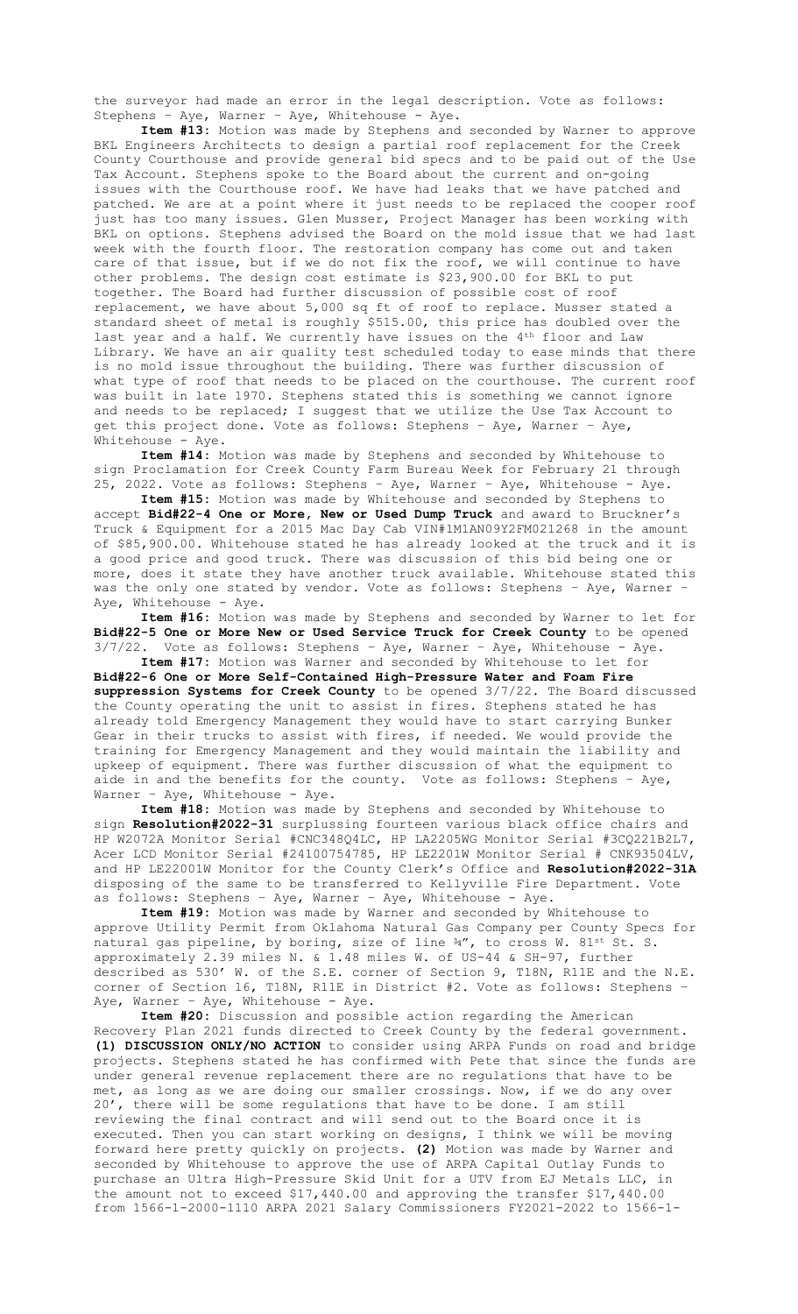the surveyor had made an error in the legal description. Vote as follows: Stephens – Aye, Warner – Aye, Whitehouse - Aye.

**Item #13:** Motion was made by Stephens and seconded by Warner to approve BKL Engineers Architects to design a partial roof replacement for the Creek County Courthouse and provide general bid specs and to be paid out of the Use Tax Account. Stephens spoke to the Board about the current and on-going issues with the Courthouse roof. We have had leaks that we have patched and patched. We are at a point where it just needs to be replaced the cooper roof just has too many issues. Glen Musser, Project Manager has been working with BKL on options. Stephens advised the Board on the mold issue that we had last week with the fourth floor. The restoration company has come out and taken care of that issue, but if we do not fix the roof, we will continue to have other problems. The design cost estimate is \$23,900.00 for BKL to put together. The Board had further discussion of possible cost of roof replacement, we have about 5,000 sq ft of roof to replace. Musser stated a standard sheet of metal is roughly \$515.00, this price has doubled over the last year and a half. We currently have issues on the 4<sup>th</sup> floor and Law Library. We have an air quality test scheduled today to ease minds that there is no mold issue throughout the building. There was further discussion of what type of roof that needs to be placed on the courthouse. The current roof was built in late 1970. Stephens stated this is something we cannot ignore and needs to be replaced; I suggest that we utilize the Use Tax Account to get this project done. Vote as follows: Stephens – Aye, Warner – Aye, Whitehouse - Aye.

**Item #14:** Motion was made by Stephens and seconded by Whitehouse to sign Proclamation for Creek County Farm Bureau Week for February 21 through 25, 2022. Vote as follows: Stephens – Aye, Warner – Aye, Whitehouse - Aye.

**Item #15:** Motion was made by Whitehouse and seconded by Stephens to accept **Bid#22-4 One or More, New or Used Dump Truck** and award to Bruckner's Truck & Equipment for a 2015 Mac Day Cab VIN#1M1AN09Y2FM021268 in the amount of \$85,900.00. Whitehouse stated he has already looked at the truck and it is a good price and good truck. There was discussion of this bid being one or more, does it state they have another truck available. Whitehouse stated this was the only one stated by vendor. Vote as follows: Stephens – Aye, Warner – Aye, Whitehouse - Aye.

**Item #16:** Motion was made by Stephens and seconded by Warner to let for **Bid#22-5 One or More New or Used Service Truck for Creek County** to be opened  $3/7/22$ . Vote as follows: Stephens - Aye, Warner - Aye, Whitehouse - Aye. **Item #17:** Motion was Warner and seconded by Whitehouse to let for

**Bid#22-6 One or More Self-Contained High-Pressure Water and Foam Fire suppression Systems for Creek County** to be opened 3/7/22. The Board discussed the County operating the unit to assist in fires. Stephens stated he has already told Emergency Management they would have to start carrying Bunker Gear in their trucks to assist with fires, if needed. We would provide the training for Emergency Management and they would maintain the liability and upkeep of equipment. There was further discussion of what the equipment to aide in and the benefits for the county. Vote as follows: Stephens – Aye, Warner - Aye, Whitehouse - Aye.

**Item #18:** Motion was made by Stephens and seconded by Whitehouse to sign **Resolution#2022-31** surplussing fourteen various black office chairs and HP W2072A Monitor Serial #CNC348Q4LC, HP LA2205WG Monitor Serial #3CQ221B2L7, Acer LCD Monitor Serial #24100754785, HP LE2201W Monitor Serial # CNK93504LV, and HP LE22001W Monitor for the County Clerk's Office and **Resolution#2022-31A** disposing of the same to be transferred to Kellyville Fire Department. Vote as follows: Stephens – Aye, Warner – Aye, Whitehouse - Aye.

**Item #19:** Motion was made by Warner and seconded by Whitehouse to approve Utility Permit from Oklahoma Natural Gas Company per County Specs for natural gas pipeline, by boring, size of line 34", to cross W. 81st St. S. approximately 2.39 miles N. & 1.48 miles W. of US-44 & SH-97, further described as 530' W. of the S.E. corner of Section 9, T18N, R11E and the N.E. corner of Section 16, T18N, R11E in District #2. Vote as follows: Stephens – Aye, Warner - Aye, Whitehouse - Aye.

**Item #20:** Discussion and possible action regarding the American Recovery Plan 2021 funds directed to Creek County by the federal government. **(1) DISCUSSION ONLY/NO ACTION** to consider using ARPA Funds on road and bridge projects. Stephens stated he has confirmed with Pete that since the funds are under general revenue replacement there are no regulations that have to be met, as long as we are doing our smaller crossings. Now, if we do any over 20', there will be some regulations that have to be done. I am still reviewing the final contract and will send out to the Board once it is executed. Then you can start working on designs, I think we will be moving forward here pretty quickly on projects. **(2)** Motion was made by Warner and seconded by Whitehouse to approve the use of ARPA Capital Outlay Funds to purchase an Ultra High-Pressure Skid Unit for a UTV from EJ Metals LLC, in the amount not to exceed \$17,440.00 and approving the transfer \$17,440.00 from 1566-1-2000-1110 ARPA 2021 Salary Commissioners FY2021-2022 to 1566-1-